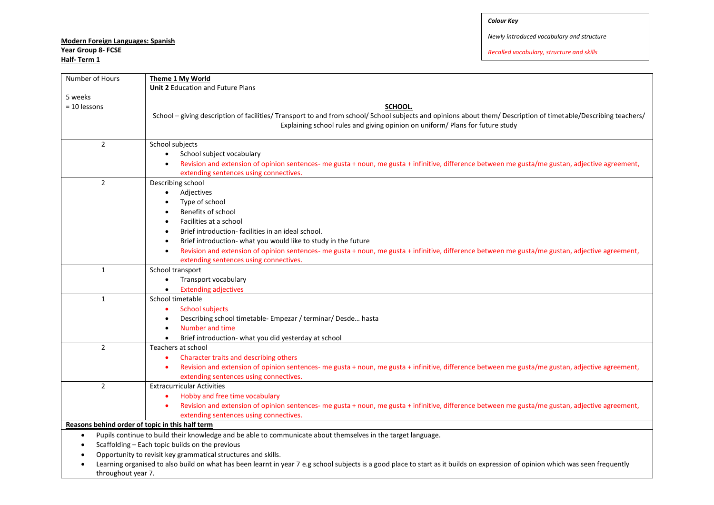## *Colour Key*

# **Modern Foreign Languages: Spanish Year Group 8- FCSE**

**Half- Term 1** 

*Newly introduced vocabulary and structure*

| Number of Hours                                 | Theme 1 My World                                                                                                                                                                                        |  |
|-------------------------------------------------|---------------------------------------------------------------------------------------------------------------------------------------------------------------------------------------------------------|--|
|                                                 | <b>Unit 2 Education and Future Plans</b>                                                                                                                                                                |  |
| 5 weeks<br>$= 10$ lessons                       | SCHOOL.<br>School - giving description of facilities/ Transport to and from school/ School subjects and opinions about them/ Description of timetable/Describing teachers/                              |  |
|                                                 | Explaining school rules and giving opinion on uniform/ Plans for future study                                                                                                                           |  |
| $\overline{2}$                                  | School subjects                                                                                                                                                                                         |  |
|                                                 | School subject vocabulary                                                                                                                                                                               |  |
|                                                 | Revision and extension of opinion sentences- me gusta + noun, me gusta + infinitive, difference between me gusta/me gustan, adjective agreement,                                                        |  |
|                                                 | extending sentences using connectives.                                                                                                                                                                  |  |
| $\overline{2}$                                  | Describing school                                                                                                                                                                                       |  |
|                                                 | Adjectives<br>$\bullet$                                                                                                                                                                                 |  |
|                                                 | Type of school<br>$\bullet$                                                                                                                                                                             |  |
|                                                 | Benefits of school                                                                                                                                                                                      |  |
|                                                 | Facilities at a school<br>$\bullet$                                                                                                                                                                     |  |
|                                                 | Brief introduction-facilities in an ideal school.<br>$\bullet$                                                                                                                                          |  |
|                                                 | Brief introduction- what you would like to study in the future<br>$\bullet$                                                                                                                             |  |
|                                                 | Revision and extension of opinion sentences- me gusta + noun, me gusta + infinitive, difference between me gusta/me gustan, adjective agreement,<br>$\bullet$                                           |  |
|                                                 | extending sentences using connectives.                                                                                                                                                                  |  |
| $\mathbf{1}$                                    | School transport                                                                                                                                                                                        |  |
|                                                 | Transport vocabulary<br>$\bullet$                                                                                                                                                                       |  |
|                                                 | <b>Extending adjectives</b><br>$\bullet$                                                                                                                                                                |  |
| $\mathbf{1}$                                    | School timetable                                                                                                                                                                                        |  |
|                                                 | <b>School subjects</b><br>$\bullet$                                                                                                                                                                     |  |
|                                                 | Describing school timetable- Empezar / terminar/ Desde hasta<br>$\bullet$                                                                                                                               |  |
|                                                 | Number and time<br>$\bullet$                                                                                                                                                                            |  |
|                                                 | Brief introduction- what you did yesterday at school<br>$\bullet$                                                                                                                                       |  |
| $\overline{2}$                                  | Teachers at school                                                                                                                                                                                      |  |
|                                                 | Character traits and describing others<br>$\bullet$                                                                                                                                                     |  |
|                                                 | Revision and extension of opinion sentences- me gusta + noun, me gusta + infinitive, difference between me gusta/me gustan, adjective agreement,<br>$\bullet$<br>extending sentences using connectives. |  |
| $\overline{2}$                                  | <b>Extracurricular Activities</b>                                                                                                                                                                       |  |
|                                                 | Hobby and free time vocabulary                                                                                                                                                                          |  |
|                                                 | Revision and extension of opinion sentences- me gusta + noun, me gusta + infinitive, difference between me gusta/me gustan, adjective agreement,<br>$\bullet$                                           |  |
|                                                 | extending sentences using connectives.                                                                                                                                                                  |  |
| Reasons behind order of topic in this half term |                                                                                                                                                                                                         |  |
| $\bullet$                                       | Pupils continue to build their knowledge and be able to communicate about themselves in the target language.                                                                                            |  |
|                                                 | Scaffolding - Each topic builds on the previous                                                                                                                                                         |  |
|                                                 | Opportunity to revisit key grammatical structures and skills.                                                                                                                                           |  |
|                                                 | Learning organised to also build on what has been learnt in year 7 e.g school subjects is a good place to start as it builds on expression of opinion which was seen frequently                         |  |
| throughout year 7.                              |                                                                                                                                                                                                         |  |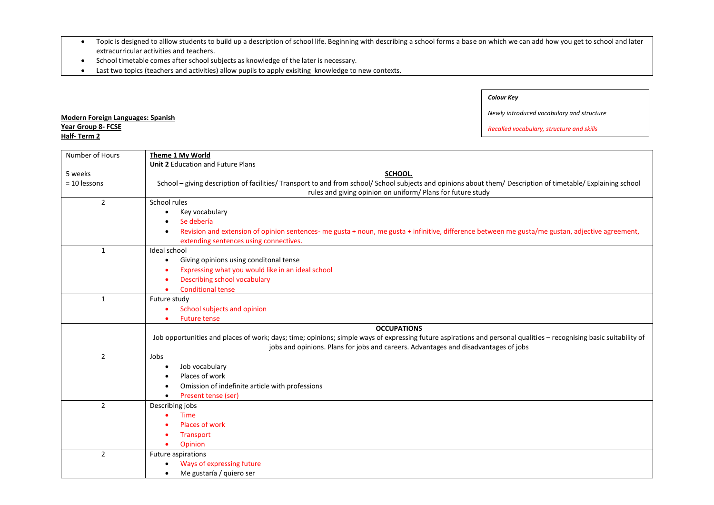- Topic is designed to alllow students to build up a description of school life. Beginning with describing a school forms a base on which we can add how you get to school and later extracurricular activities and teachers.
- School timetable comes after school subjects as knowledge of the later is necessary.

**Modern Foreign Languages: Spanish**

**Year Group 8- FCSE Half- Term 2** 

Last two topics (teachers and activities) allow pupils to apply exisiting knowledge to new contexts.

## *Colour Key*

*Newly introduced vocabulary and structure*

| Number of Hours | Theme 1 My World                                                                                                                                                   |  |
|-----------------|--------------------------------------------------------------------------------------------------------------------------------------------------------------------|--|
|                 | <b>Unit 2 Education and Future Plans</b>                                                                                                                           |  |
| 5 weeks         | SCHOOL.                                                                                                                                                            |  |
| $= 10$ lessons  | School - giving description of facilities/ Transport to and from school/ School subjects and opinions about them/ Description of timetable/ Explaining school      |  |
|                 | rules and giving opinion on uniform/ Plans for future study                                                                                                        |  |
| $\overline{2}$  | School rules                                                                                                                                                       |  |
|                 | Key vocabulary<br>$\bullet$                                                                                                                                        |  |
|                 | Se debería                                                                                                                                                         |  |
|                 | Revision and extension of opinion sentences- me gusta + noun, me gusta + infinitive, difference between me gusta/me gustan, adjective agreement,<br>$\bullet$      |  |
|                 | extending sentences using connectives.                                                                                                                             |  |
| $\mathbf{1}$    | Ideal school                                                                                                                                                       |  |
|                 | Giving opinions using conditonal tense<br>$\bullet$                                                                                                                |  |
|                 | Expressing what you would like in an ideal school                                                                                                                  |  |
|                 | <b>Describing school vocabulary</b>                                                                                                                                |  |
|                 | <b>Conditional tense</b>                                                                                                                                           |  |
| $\mathbf{1}$    | Future study                                                                                                                                                       |  |
|                 | School subjects and opinion                                                                                                                                        |  |
|                 | <b>Future tense</b>                                                                                                                                                |  |
|                 | <b>OCCUPATIONS</b>                                                                                                                                                 |  |
|                 | Job opportunities and places of work; days; time; opinions; simple ways of expressing future aspirations and personal qualities - recognising basic suitability of |  |
|                 | jobs and opinions. Plans for jobs and careers. Advantages and disadvantages of jobs                                                                                |  |
| $\overline{2}$  | Jobs                                                                                                                                                               |  |
|                 | Job vocabulary<br>$\bullet$                                                                                                                                        |  |
|                 | Places of work<br>$\bullet$                                                                                                                                        |  |
|                 | Omission of indefinite article with professions                                                                                                                    |  |
|                 | Present tense (ser)                                                                                                                                                |  |
| $\overline{2}$  | Describing jobs                                                                                                                                                    |  |
|                 | <b>Time</b>                                                                                                                                                        |  |
|                 | Places of work                                                                                                                                                     |  |
|                 | <b>Transport</b>                                                                                                                                                   |  |
|                 | Opinion                                                                                                                                                            |  |
| $\overline{2}$  | Future aspirations                                                                                                                                                 |  |
|                 | Ways of expressing future                                                                                                                                          |  |
|                 | Me gustaría / quiero ser<br>$\bullet$                                                                                                                              |  |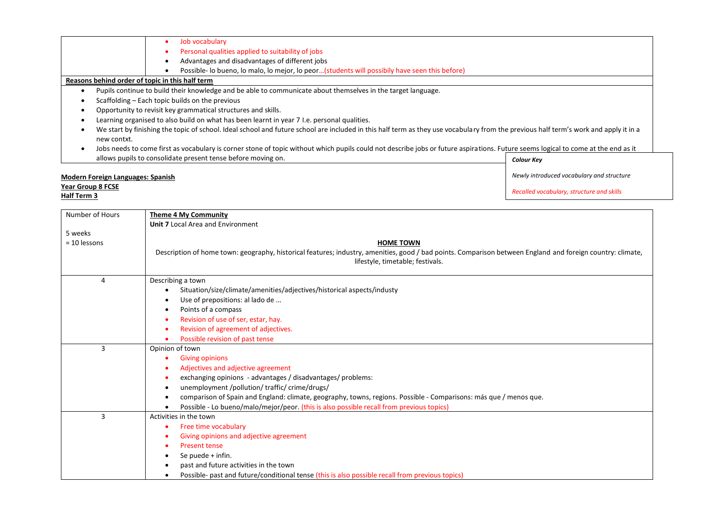|                                                                                                                                                                                                     | Job vocabulary                                                                                                                                                                    |                                           |
|-----------------------------------------------------------------------------------------------------------------------------------------------------------------------------------------------------|-----------------------------------------------------------------------------------------------------------------------------------------------------------------------------------|-------------------------------------------|
|                                                                                                                                                                                                     | Personal qualities applied to suitability of jobs                                                                                                                                 |                                           |
|                                                                                                                                                                                                     | Advantages and disadvantages of different jobs                                                                                                                                    |                                           |
|                                                                                                                                                                                                     | Possible- lo bueno, lo malo, lo mejor, lo peor(students will possibily have seen this before)                                                                                     |                                           |
|                                                                                                                                                                                                     | Reasons behind order of topic in this half term                                                                                                                                   |                                           |
|                                                                                                                                                                                                     | Pupils continue to build their knowledge and be able to communicate about themselves in the target language.                                                                      |                                           |
| Scaffolding – Each topic builds on the previous                                                                                                                                                     |                                                                                                                                                                                   |                                           |
| Opportunity to revisit key grammatical structures and skills.                                                                                                                                       |                                                                                                                                                                                   |                                           |
|                                                                                                                                                                                                     | Learning organised to also build on what has been learnt in year 7 I.e. personal qualities.                                                                                       |                                           |
| We start by finishing the topic of school. Ideal school and future school are included in this half term as they use vocabulary from the previous half term's work and apply it in a<br>new contxt. |                                                                                                                                                                                   |                                           |
|                                                                                                                                                                                                     | Jobs needs to come first as vocabulary is corner stone of topic without which pupils could not describe jobs or future aspirations. Future seems logical to come at the end as it |                                           |
|                                                                                                                                                                                                     | allows pupils to consolidate present tense before moving on.                                                                                                                      | <b>Colour Key</b>                         |
| Modern Foreign Languages: Spanish                                                                                                                                                                   |                                                                                                                                                                                   | Newly introduced vocabulary and structure |

**Year Group 8 FCSE Half Term 3**

| Number of Hours | <b>Theme 4 My Community</b>                                                                                                                                |
|-----------------|------------------------------------------------------------------------------------------------------------------------------------------------------------|
|                 | <b>Unit 7 Local Area and Environment</b>                                                                                                                   |
| 5 weeks         |                                                                                                                                                            |
| $= 10$ lessons  | <b>HOME TOWN</b>                                                                                                                                           |
|                 | Description of home town: geography, historical features; industry, amenities, good / bad points. Comparison between England and foreign country: climate, |
|                 | lifestyle, timetable; festivals.                                                                                                                           |
|                 |                                                                                                                                                            |
| 4               | Describing a town                                                                                                                                          |
|                 | Situation/size/climate/amenities/adjectives/historical aspects/industy                                                                                     |
|                 | Use of prepositions: al lado de<br>٠                                                                                                                       |
|                 | Points of a compass<br>$\bullet$                                                                                                                           |
|                 | Revision of use of ser, estar, hay.<br>$\bullet$                                                                                                           |
|                 | Revision of agreement of adjectives.<br>$\bullet$                                                                                                          |
|                 | Possible revision of past tense<br>$\bullet$                                                                                                               |
| 3               | Opinion of town                                                                                                                                            |
|                 | <b>Giving opinions</b><br>٠                                                                                                                                |
|                 | Adjectives and adjective agreement<br>٠                                                                                                                    |
|                 | exchanging opinions - advantages / disadvantages/ problems:<br>٠                                                                                           |
|                 | unemployment /pollution/ traffic/ crime/drugs/<br>$\bullet$                                                                                                |
|                 | comparison of Spain and England: climate, geography, towns, regions. Possible - Comparisons: más que / menos que.<br>$\bullet$                             |
|                 | Possible - Lo bueno/malo/mejor/peor. (this is also possible recall from previous topics)<br>$\bullet$                                                      |
| 3               | Activities in the town                                                                                                                                     |
|                 | Free time vocabulary                                                                                                                                       |
|                 | Giving opinions and adjective agreement<br>٠                                                                                                               |
|                 | <b>Present tense</b><br>$\bullet$                                                                                                                          |
|                 | Se puede + infin.<br>$\bullet$                                                                                                                             |
|                 | past and future activities in the town<br>٠                                                                                                                |
|                 | Possible- past and future/conditional tense (this is also possible recall from previous topics)<br>٠                                                       |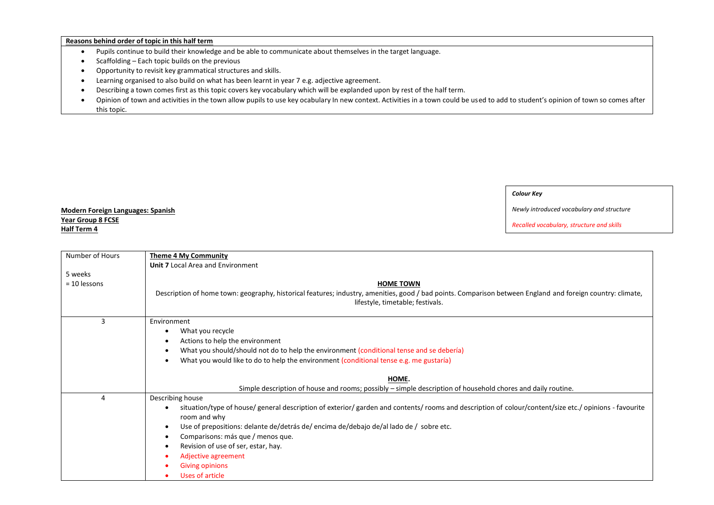#### **Reasons behind order of topic in this half term**

- Pupils continue to build their knowledge and be able to communicate about themselves in the target language.
- $\bullet$  Scaffolding Each topic builds on the previous
- Opportunity to revisit key grammatical structures and skills.
- Learning organised to also build on what has been learnt in year 7 e.g. adjective agreement.
- Describing a town comes first as this topic covers key vocabulary which will be explanded upon by rest of the half term.
- Opinion of town and activities in the town allow pupils to use key ocabulary In new context. Activities in a town could be used to add to student's opinion of town so comes after this topic.

### *Colour Key*

#### *Newly introduced vocabulary and structure*

*Recalled vocabulary, structure and skills*

## **Modern Foreign Languages: Spanish Year Group 8 FCSE Half Term 4**

| Number of Hours | <b>Theme 4 My Community</b>                                                                                                                                                                    |
|-----------------|------------------------------------------------------------------------------------------------------------------------------------------------------------------------------------------------|
|                 | <b>Unit 7 Local Area and Environment</b>                                                                                                                                                       |
| 5 weeks         |                                                                                                                                                                                                |
| $= 10$ lessons  | <b>HOME TOWN</b>                                                                                                                                                                               |
|                 | Description of home town: geography, historical features; industry, amenities, good / bad points. Comparison between England and foreign country: climate,<br>lifestyle, timetable; festivals. |
| 3               | Environment                                                                                                                                                                                    |
|                 | What you recycle<br>$\bullet$                                                                                                                                                                  |
|                 | Actions to help the environment                                                                                                                                                                |
|                 | What you should/should not do to help the environment (conditional tense and se debería)                                                                                                       |
|                 | What you would like to do to help the environment (conditional tense e.g. me gustaría)<br>$\bullet$                                                                                            |
|                 |                                                                                                                                                                                                |
|                 | HOME.                                                                                                                                                                                          |
|                 | Simple description of house and rooms; possibly – simple description of household chores and daily routine.                                                                                    |
| 4               | Describing house                                                                                                                                                                               |
|                 | situation/type of house/ general description of exterior/ garden and contents/ rooms and description of colour/content/size etc./ opinions - favourite                                         |
|                 | room and why                                                                                                                                                                                   |
|                 | Use of prepositions: delante de/detrás de/ encima de/debajo de/al lado de / sobre etc.<br>$\bullet$                                                                                            |
|                 | Comparisons: más que / menos que.<br>$\bullet$                                                                                                                                                 |
|                 | Revision of use of ser, estar, hay.<br>$\bullet$                                                                                                                                               |
|                 | Adjective agreement                                                                                                                                                                            |
|                 | <b>Giving opinions</b>                                                                                                                                                                         |
|                 | Uses of article                                                                                                                                                                                |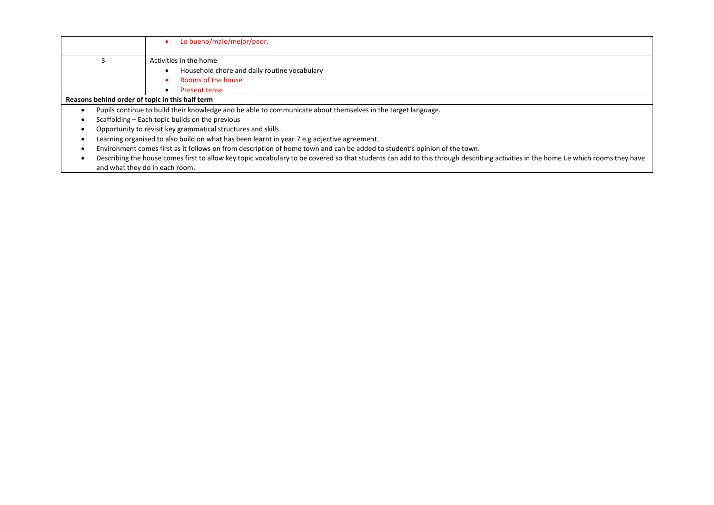| Lo bueno/malo/mejor/peor.                                                                                                                                                         |  |
|-----------------------------------------------------------------------------------------------------------------------------------------------------------------------------------|--|
| Activities in the home                                                                                                                                                            |  |
| Household chore and daily routine vocabulary                                                                                                                                      |  |
| Rooms of the house                                                                                                                                                                |  |
| Present tense<br>٠                                                                                                                                                                |  |
| Reasons behind order of topic in this half term                                                                                                                                   |  |
| Pupils continue to build their knowledge and be able to communicate about themselves in the target language.                                                                      |  |
| Scaffolding – Each topic builds on the previous                                                                                                                                   |  |
| Opportunity to revisit key grammatical structures and skills.                                                                                                                     |  |
| Learning organised to also build on what has been learnt in year 7 e.g adjective agreement.                                                                                       |  |
| Environment comes first as it follows on from description of home town and can be added to student's opinion of the town.                                                         |  |
| Describing the house comes first to allow key topic vocabulary to be covered so that students can add to this through describing activities in the home I.e which rooms they have |  |
| and what they do in each room.                                                                                                                                                    |  |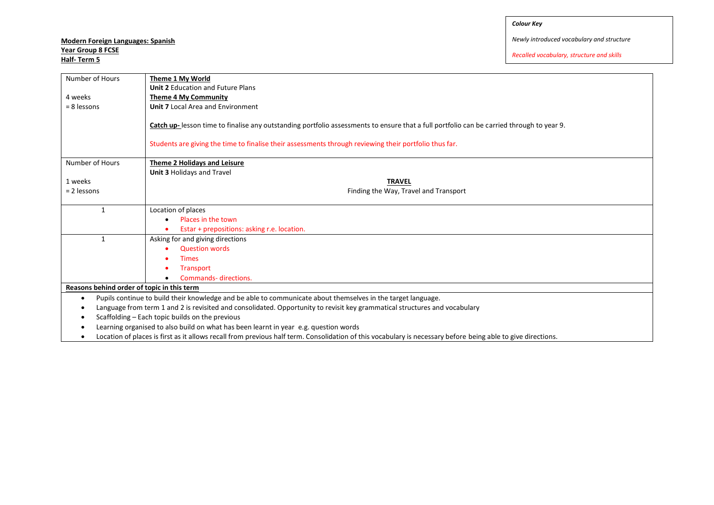*Colour Key*

# **Modern Foreign Languages: Spanish Year Group 8 FCSE Half- Term 5**

*Newly introduced vocabulary and structure*

| Number of Hours                                                                                                            | Theme 1 My World                                                                                                                                             |  |
|----------------------------------------------------------------------------------------------------------------------------|--------------------------------------------------------------------------------------------------------------------------------------------------------------|--|
|                                                                                                                            | <b>Unit 2 Education and Future Plans</b>                                                                                                                     |  |
| 4 weeks                                                                                                                    | <b>Theme 4 My Community</b>                                                                                                                                  |  |
| $= 8$ lessons                                                                                                              | <b>Unit 7 Local Area and Environment</b>                                                                                                                     |  |
|                                                                                                                            |                                                                                                                                                              |  |
|                                                                                                                            | Catch up-lesson time to finalise any outstanding portfolio assessments to ensure that a full portfolio can be carried through to year 9.                     |  |
|                                                                                                                            |                                                                                                                                                              |  |
|                                                                                                                            | Students are giving the time to finalise their assessments through reviewing their portfolio thus far.                                                       |  |
|                                                                                                                            |                                                                                                                                                              |  |
| Number of Hours                                                                                                            | Theme 2 Holidays and Leisure                                                                                                                                 |  |
|                                                                                                                            | Unit 3 Holidays and Travel                                                                                                                                   |  |
| 1 weeks                                                                                                                    | <b>TRAVEL</b>                                                                                                                                                |  |
| $= 2$ lessons                                                                                                              | Finding the Way, Travel and Transport                                                                                                                        |  |
| $\mathbf{1}$                                                                                                               | Location of places                                                                                                                                           |  |
|                                                                                                                            | Places in the town                                                                                                                                           |  |
|                                                                                                                            | Estar + prepositions: asking r.e. location.                                                                                                                  |  |
| $\mathbf{1}$                                                                                                               |                                                                                                                                                              |  |
|                                                                                                                            | Asking for and giving directions<br><b>Question words</b>                                                                                                    |  |
|                                                                                                                            |                                                                                                                                                              |  |
|                                                                                                                            | <b>Times</b>                                                                                                                                                 |  |
|                                                                                                                            | <b>Transport</b>                                                                                                                                             |  |
|                                                                                                                            | Commands-directions.                                                                                                                                         |  |
| Reasons behind order of topic in this term                                                                                 |                                                                                                                                                              |  |
| Pupils continue to build their knowledge and be able to communicate about themselves in the target language.<br>$\bullet$  |                                                                                                                                                              |  |
| Language from term 1 and 2 is revisited and consolidated. Opportunity to revisit key grammatical structures and vocabulary |                                                                                                                                                              |  |
|                                                                                                                            | Scaffolding – Each topic builds on the previous                                                                                                              |  |
|                                                                                                                            | Learning organised to also build on what has been learnt in year e.g. question words                                                                         |  |
|                                                                                                                            | Location of places is first as it allows recall from previous half term. Consolidation of this vocabulary is necessary before being able to give directions. |  |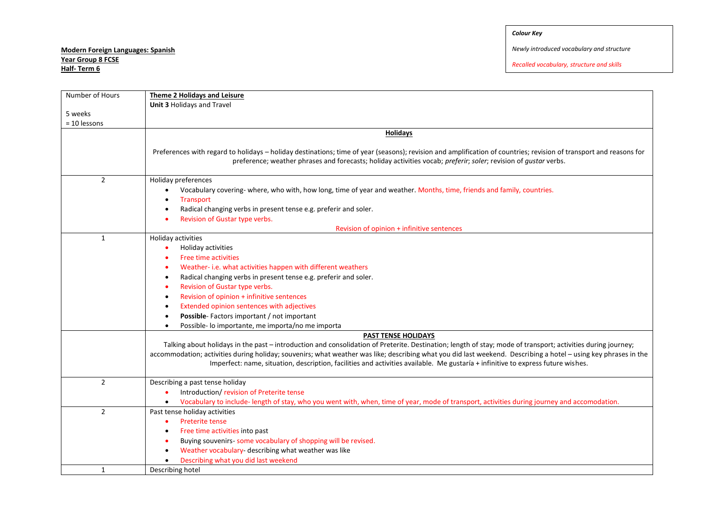| Number of Hours | <b>Theme 2 Holidays and Leisure</b>                                                                                                                                                                                                                                                                                                                                                                                                                                 |
|-----------------|---------------------------------------------------------------------------------------------------------------------------------------------------------------------------------------------------------------------------------------------------------------------------------------------------------------------------------------------------------------------------------------------------------------------------------------------------------------------|
|                 | Unit 3 Holidays and Travel                                                                                                                                                                                                                                                                                                                                                                                                                                          |
| 5 weeks         |                                                                                                                                                                                                                                                                                                                                                                                                                                                                     |
| = 10 lessons    |                                                                                                                                                                                                                                                                                                                                                                                                                                                                     |
|                 | <b>Holidays</b>                                                                                                                                                                                                                                                                                                                                                                                                                                                     |
|                 | Preferences with regard to holidays - holiday destinations; time of year (seasons); revision and amplification of countries; revision of transport and reasons for<br>preference; weather phrases and forecasts; holiday activities vocab; preferir; soler; revision of gustar verbs.                                                                                                                                                                               |
| $\overline{2}$  | Holiday preferences<br>Vocabulary covering-where, who with, how long, time of year and weather. Months, time, friends and family, countries.<br><b>Transport</b>                                                                                                                                                                                                                                                                                                    |
|                 | Radical changing verbs in present tense e.g. preferir and soler.                                                                                                                                                                                                                                                                                                                                                                                                    |
|                 | Revision of Gustar type verbs.                                                                                                                                                                                                                                                                                                                                                                                                                                      |
|                 | Revision of opinion + infinitive sentences                                                                                                                                                                                                                                                                                                                                                                                                                          |
| $\mathbf{1}$    | Holiday activities                                                                                                                                                                                                                                                                                                                                                                                                                                                  |
|                 | Holiday activities<br>٠                                                                                                                                                                                                                                                                                                                                                                                                                                             |
|                 | <b>Free time activities</b>                                                                                                                                                                                                                                                                                                                                                                                                                                         |
|                 | Weather- i.e. what activities happen with different weathers<br>$\bullet$                                                                                                                                                                                                                                                                                                                                                                                           |
|                 | Radical changing verbs in present tense e.g. preferir and soler.<br>$\bullet$                                                                                                                                                                                                                                                                                                                                                                                       |
|                 | Revision of Gustar type verbs.<br>$\bullet$                                                                                                                                                                                                                                                                                                                                                                                                                         |
|                 | Revision of opinion + infinitive sentences<br>$\bullet$                                                                                                                                                                                                                                                                                                                                                                                                             |
|                 | Extended opinion sentences with adjectives                                                                                                                                                                                                                                                                                                                                                                                                                          |
|                 | Possible-Factors important / not important                                                                                                                                                                                                                                                                                                                                                                                                                          |
|                 | Possible- lo importante, me importa/no me importa                                                                                                                                                                                                                                                                                                                                                                                                                   |
|                 | <b>PAST TENSE HOLIDAYS</b>                                                                                                                                                                                                                                                                                                                                                                                                                                          |
|                 | Talking about holidays in the past - introduction and consolidation of Preterite. Destination; length of stay; mode of transport; activities during journey;<br>accommodation; activities during holiday; souvenirs; what weather was like; describing what you did last weekend. Describing a hotel - using key phrases in the<br>Imperfect: name, situation, description, facilities and activities available. Me gustaría + infinitive to express future wishes. |
| $\overline{2}$  | Describing a past tense holiday                                                                                                                                                                                                                                                                                                                                                                                                                                     |
|                 | Introduction/revision of Preterite tense                                                                                                                                                                                                                                                                                                                                                                                                                            |
|                 | Vocabulary to include-length of stay, who you went with, when, time of year, mode of transport, activities during journey and accomodation.<br>$\bullet$                                                                                                                                                                                                                                                                                                            |
| $\overline{2}$  | Past tense holiday activities                                                                                                                                                                                                                                                                                                                                                                                                                                       |
|                 | Preterite tense<br>$\bullet$                                                                                                                                                                                                                                                                                                                                                                                                                                        |
|                 | Free time activities into past                                                                                                                                                                                                                                                                                                                                                                                                                                      |
|                 | Buying souvenirs- some vocabulary of shopping will be revised.                                                                                                                                                                                                                                                                                                                                                                                                      |
|                 | Weather vocabulary- describing what weather was like<br>$\bullet$                                                                                                                                                                                                                                                                                                                                                                                                   |
|                 | Describing what you did last weekend                                                                                                                                                                                                                                                                                                                                                                                                                                |
| $\mathbf{1}$    | Describing hotel                                                                                                                                                                                                                                                                                                                                                                                                                                                    |
|                 |                                                                                                                                                                                                                                                                                                                                                                                                                                                                     |